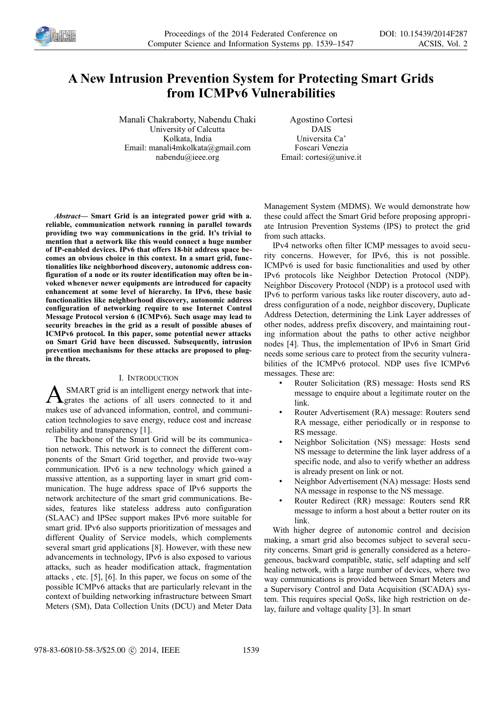

# **A New Intrusion Prevention System for Protecting Smart Grids from ICMPv6 Vulnerabilities**

Manali Chakraborty, Nabendu Chaki University of Calcutta Kolkata, India Email: manali4mkolkata@gmail.com nabendu@ieee.org

Agostino Cortesi DAIS Universita Ca' Foscari Venezia Email: cortesi@unive.it

*Abstract—* **Smart Grid is an integrated power grid with a. reliable, communication network running in parallel towards providing two way communications in the grid. It's trivial to mention that a network like this would connect a huge number of IP-enabled devices. IPv6 that offers 18-bit address space becomes an obvious choice in this context. In a smart grid, functionalities like neighborhood discovery, autonomic address configuration of a node or its router identification may often be invoked whenever newer equipments are introduced for capacity enhancement at some level of hierarchy. In IPv6, these basic functionalities like neighborhood discovery, autonomic address configuration of networking require to use Internet Control Message Protocol version 6 (ICMPv6). Such usage may lead to security breaches in the grid as a result of possible abuses of ICMPv6 protocol. In this paper, some potential newer attacks on Smart Grid have been discussed. Subsequently, intrusion prevention mechanisms for these attacks are proposed to plugin the threats.**

#### I. INTRODUCTION

 SMART grid is an intelligent energy network that inte-A SMART grid is an intelligent energy network that inte-<br>grates the actions of all users connected to it and makes use of advanced information, control, and communication technologies to save energy, reduce cost and increase reliability and transparency [1].

The backbone of the Smart Grid will be its communication network. This network is to connect the different components of the Smart Grid together, and provide two-way communication. IPv6 is a new technology which gained a massive attention, as a supporting layer in smart grid communication. The huge address space of IPv6 supports the network architecture of the smart grid communications. Besides, features like stateless address auto configuration (SLAAC) and IPSec support makes IPv6 more suitable for smart grid. IPv6 also supports prioritization of messages and different Quality of Service models, which complements several smart grid applications [8]. However, with these new advancements in technology, IPv6 is also exposed to various attacks, such as header modification attack, fragmentation attacks , etc. [5], [6]. In this paper, we focus on some of the possible ICMPv6 attacks that are particularly relevant in the context of building networking infrastructure between Smart Meters (SM), Data Collection Units (DCU) and Meter Data

Management System (MDMS). We would demonstrate how these could affect the Smart Grid before proposing appropriate Intrusion Prevention Systems (IPS) to protect the grid from such attacks.

IPv4 networks often filter ICMP messages to avoid security concerns. However, for IPv6, this is not possible. ICMPv6 is used for basic functionalities and used by other IPv6 protocols like Neighbor Detection Protocol (NDP). Neighbor Discovery Protocol (NDP) is a protocol used with IPv6 to perform various tasks like router discovery, auto address configuration of a node, neighbor discovery, Duplicate Address Detection, determining the Link Layer addresses of other nodes, address prefix discovery, and maintaining routing information about the paths to other active neighbor nodes [4]. Thus, the implementation of IPv6 in Smart Grid needs some serious care to protect from the security vulnerabilities of the ICMPv6 protocol. NDP uses five ICMPv6 messages. These are:

- Router Solicitation (RS) message: Hosts send RS message to enquire about a legitimate router on the link.
- Router Advertisement (RA) message: Routers send RA message, either periodically or in response to RS message.
- Neighbor Solicitation (NS) message: Hosts send NS message to determine the link layer address of a specific node, and also to verify whether an address is already present on link or not.
- Neighbor Advertisement (NA) message: Hosts send NA message in response to the NS message.
- Router Redirect (RR) message: Routers send RR message to inform a host about a better router on its link.

With higher degree of autonomic control and decision making, a smart grid also becomes subject to several security concerns. Smart grid is generally considered as a heterogeneous, backward compatible, static, self adapting and self healing network, with a large number of devices, where two way communications is provided between Smart Meters and a Supervisory Control and Data Acquisition (SCADA) system. This requires special QoSs, like high restriction on delay, failure and voltage quality [3]. In smart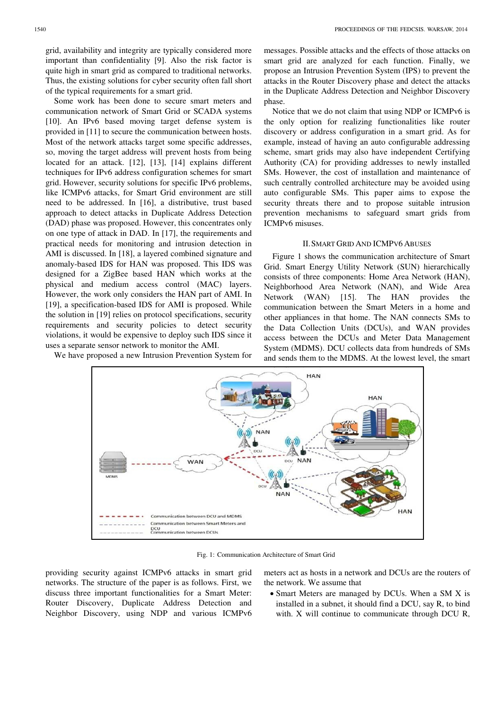grid, availability and integrity are typically considered more important than confidentiality [9]. Also the risk factor is quite high in smart grid as compared to traditional networks. Thus, the existing solutions for cyber security often fall short of the typical requirements for a smart grid.

Some work has been done to secure smart meters and communication network of Smart Grid or SCADA systems [10]. An IPv6 based moving target defense system is provided in [11] to secure the communication between hosts. Most of the network attacks target some specific addresses, so, moving the target address will prevent hosts from being located for an attack. [12], [13], [14] explains different techniques for IPv6 address configuration schemes for smart grid. However, security solutions for specific IPv6 problems, like ICMPv6 attacks, for Smart Grid environment are still need to be addressed. In [16], a distributive, trust based approach to detect attacks in Duplicate Address Detection (DAD) phase was proposed. However, this concentrates only on one type of attack in DAD. In [17], the requirements and practical needs for monitoring and intrusion detection in AMI is discussed. In [18], a layered combined signature and anomaly-based IDS for HAN was proposed. This IDS was designed for a ZigBee based HAN which works at the physical and medium access control (MAC) layers. However, the work only considers the HAN part of AMI. In [19], a specification-based IDS for AMI is proposed. While the solution in [19] relies on protocol specifications, security requirements and security policies to detect security violations, it would be expensive to deploy such IDS since it uses a separate sensor network to monitor the AMI.

We have proposed a new Intrusion Prevention System for

messages. Possible attacks and the effects of those attacks on smart grid are analyzed for each function. Finally, we propose an Intrusion Prevention System (IPS) to prevent the attacks in the Router Discovery phase and detect the attacks in the Duplicate Address Detection and Neighbor Discovery phase.

Notice that we do not claim that using NDP or ICMPv6 is the only option for realizing functionalities like router discovery or address configuration in a smart grid. As for example, instead of having an auto configurable addressing scheme, smart grids may also have independent Certifying Authority (CA) for providing addresses to newly installed SMs. However, the cost of installation and maintenance of such centrally controlled architecture may be avoided using auto configurable SMs. This paper aims to expose the security threats there and to propose suitable intrusion prevention mechanisms to safeguard smart grids from ICMPv6 misuses.

### II.SMART GRID AND ICMPV6 ABUSES

Figure 1 shows the communication architecture of Smart Grid. Smart Energy Utility Network (SUN) hierarchically consists of three components: Home Area Network (HAN), Neighborhood Area Network (NAN), and Wide Area Network (WAN) [15]. The HAN provides the communication between the Smart Meters in a home and other appliances in that home. The NAN connects SMs to the Data Collection Units (DCUs), and WAN provides access between the DCUs and Meter Data Management System (MDMS). DCU collects data from hundreds of SMs and sends them to the MDMS. At the lowest level, the smart



Fig. 1: Communication Architecture of Smart Grid

providing security against ICMPv6 attacks in smart grid networks. The structure of the paper is as follows. First, we discuss three important functionalities for a Smart Meter: Router Discovery, Duplicate Address Detection and Neighbor Discovery, using NDP and various ICMPv6 meters act as hosts in a network and DCUs are the routers of the network. We assume that

• Smart Meters are managed by DCUs. When a SM X is installed in a subnet, it should find a DCU, say R, to bind with. X will continue to communicate through DCU R,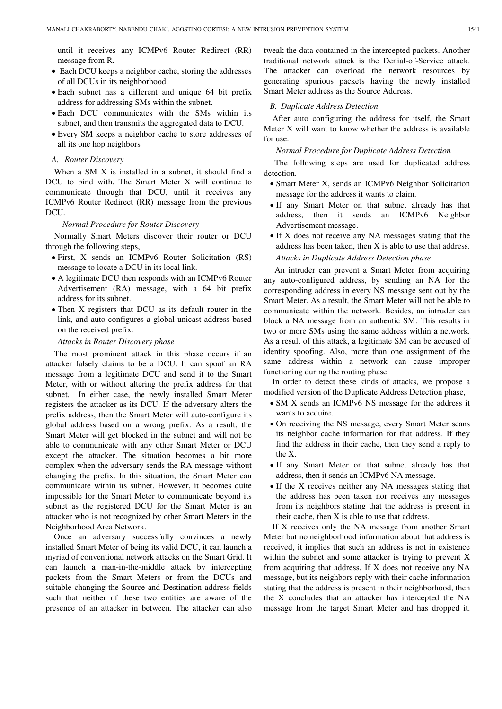until it receives any ICMPv6 Router Redirect (RR) message from R.

- Each DCU keeps a neighbor cache, storing the addresses of all DCUs in its neighborhood.
- Each subnet has a different and unique 64 bit prefix address for addressing SMs within the subnet.
- Each DCU communicates with the SMs within its subnet, and then transmits the aggregated data to DCU.
- Every SM keeps a neighbor cache to store addresses of all its one hop neighbors

#### *A. Router Discovery*

When a SM X is installed in a subnet, it should find a DCU to bind with. The Smart Meter X will continue to communicate through that DCU, until it receives any ICMPv6 Router Redirect (RR) message from the previous DCU.

#### *Normal Procedure for Router Discovery*

Normally Smart Meters discover their router or DCU through the following steps,

- First, X sends an ICMPv6 Router Solicitation (RS) message to locate a DCU in its local link.
- A legitimate DCU then responds with an ICMPv6 Router Advertisement (RA) message, with a 64 bit prefix address for its subnet.
- Then X registers that DCU as its default router in the link, and auto-configures a global unicast address based on the received prefix.

#### *Attacks in Router Discovery phase*

The most prominent attack in this phase occurs if an attacker falsely claims to be a DCU. It can spoof an RA message from a legitimate DCU and send it to the Smart Meter, with or without altering the prefix address for that subnet. In either case, the newly installed Smart Meter registers the attacker as its DCU. If the adversary alters the prefix address, then the Smart Meter will auto-configure its global address based on a wrong prefix. As a result, the Smart Meter will get blocked in the subnet and will not be able to communicate with any other Smart Meter or DCU except the attacker. The situation becomes a bit more complex when the adversary sends the RA message without changing the prefix. In this situation, the Smart Meter can communicate within its subnet. However, it becomes quite impossible for the Smart Meter to communicate beyond its subnet as the registered DCU for the Smart Meter is an attacker who is not recognized by other Smart Meters in the Neighborhood Area Network.

Once an adversary successfully convinces a newly installed Smart Meter of being its valid DCU, it can launch a myriad of conventional network attacks on the Smart Grid. It can launch a man-in-the-middle attack by intercepting packets from the Smart Meters or from the DCUs and suitable changing the Source and Destination address fields such that neither of these two entities are aware of the presence of an attacker in between. The attacker can also tweak the data contained in the intercepted packets. Another traditional network attack is the Denial-of-Service attack. The attacker can overload the network resources by generating spurious packets having the newly installed Smart Meter address as the Source Address.

#### *B. Duplicate Address Detection*

After auto configuring the address for itself, the Smart Meter X will want to know whether the address is available for use.

### *Normal Procedure for Duplicate Address Detection*

The following steps are used for duplicated address detection.

- Smart Meter X, sends an ICMPv6 Neighbor Solicitation message for the address it wants to claim.
- If any Smart Meter on that subnet already has that address, then it sends an ICMPv6 Neighbor Advertisement message.
- If X does not receive any NA messages stating that the address has been taken, then X is able to use that address. *Attacks in Duplicate Address Detection phase*

An intruder can prevent a Smart Meter from acquiring any auto-configured address, by sending an NA for the corresponding address in every NS message sent out by the Smart Meter. As a result, the Smart Meter will not be able to communicate within the network. Besides, an intruder can block a NA message from an authentic SM. This results in two or more SMs using the same address within a network. As a result of this attack, a legitimate SM can be accused of identity spoofing. Also, more than one assignment of the same address within a network can cause improper functioning during the routing phase.

In order to detect these kinds of attacks, we propose a modified version of the Duplicate Address Detection phase,

- SM X sends an ICMPv6 NS message for the address it wants to acquire.
- On receiving the NS message, every Smart Meter scans its neighbor cache information for that address. If they find the address in their cache, then they send a reply to the X.
- If any Smart Meter on that subnet already has that address, then it sends an ICMPv6 NA message.
- If the X receives neither any NA messages stating that the address has been taken nor receives any messages from its neighbors stating that the address is present in their cache, then X is able to use that address.

If X receives only the NA message from another Smart Meter but no neighborhood information about that address is received, it implies that such an address is not in existence within the subnet and some attacker is trying to prevent X from acquiring that address. If X does not receive any NA message, but its neighbors reply with their cache information stating that the address is present in their neighborhood, then the X concludes that an attacker has intercepted the NA message from the target Smart Meter and has dropped it.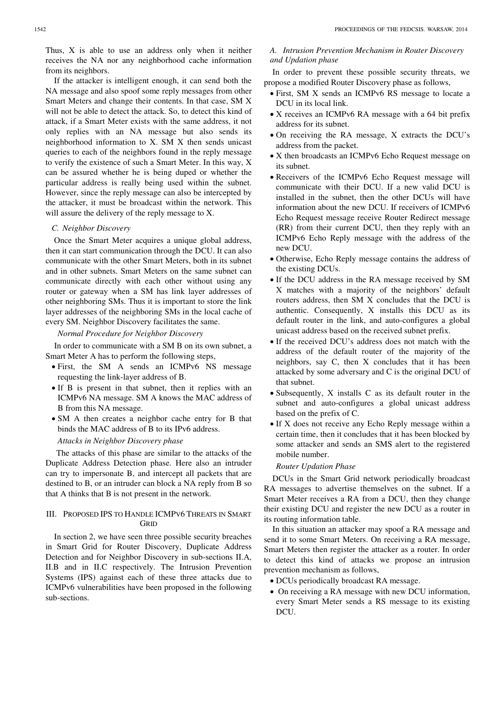Thus, X is able to use an address only when it neither receives the NA nor any neighborhood cache information from its neighbors.

If the attacker is intelligent enough, it can send both the NA message and also spoof some reply messages from other Smart Meters and change their contents. In that case, SM X will not be able to detect the attack. So, to detect this kind of attack, if a Smart Meter exists with the same address, it not only replies with an NA message but also sends its neighborhood information to X. SM X then sends unicast queries to each of the neighbors found in the reply message to verify the existence of such a Smart Meter. In this way, X can be assured whether he is being duped or whether the particular address is really being used within the subnet. However, since the reply message can also be intercepted by the attacker, it must be broadcast within the network. This will assure the delivery of the reply message to X.

### *C. Neighbor Discovery*

Once the Smart Meter acquires a unique global address, then it can start communication through the DCU. It can also communicate with the other Smart Meters, both in its subnet and in other subnets. Smart Meters on the same subnet can communicate directly with each other without using any router or gateway when a SM has link layer addresses of other neighboring SMs. Thus it is important to store the link layer addresses of the neighboring SMs in the local cache of every SM. Neighbor Discovery facilitates the same.

### *Normal Procedure for Neighbor Discovery*

In order to communicate with a SM B on its own subnet, a Smart Meter A has to perform the following steps,

- First, the SM A sends an ICMPv6 NS message requesting the link-layer address of B.
- If B is present in that subnet, then it replies with an ICMPv6 NA message. SM A knows the MAC address of B from this NA message.
- SM A then creates a neighbor cache entry for B that binds the MAC address of B to its IPv6 address.

### *Attacks in Neighbor Discovery phase*

The attacks of this phase are similar to the attacks of the Duplicate Address Detection phase. Here also an intruder can try to impersonate B, and intercept all packets that are destined to B, or an intruder can block a NA reply from B so that A thinks that B is not present in the network.

### III. PROPOSED IPS TO HANDLE ICMPV6 THREATS IN SMART GRID

In section 2, we have seen three possible security breaches in Smart Grid for Router Discovery, Duplicate Address Detection and for Neighbor Discovery in sub-sections II.A, II.B and in II.C respectively. The Intrusion Prevention Systems (IPS) against each of these three attacks due to ICMPv6 vulnerabilities have been proposed in the following sub-sections.

## *A. Intrusion Prevention Mechanism in Router Discovery and Updation phase*

In order to prevent these possible security threats, we propose a modified Router Discovery phase as follows,

- First, SM X sends an ICMPv6 RS message to locate a DCU in its local link.
- X receives an ICMPv6 RA message with a 64 bit prefix address for its subnet.
- On receiving the RA message, X extracts the DCU's address from the packet.
- X then broadcasts an ICMPv6 Echo Request message on its subnet.
- Receivers of the ICMPv6 Echo Request message will communicate with their DCU. If a new valid DCU is installed in the subnet, then the other DCUs will have information about the new DCU. If receivers of ICMPv6 Echo Request message receive Router Redirect message (RR) from their current DCU, then they reply with an ICMPv6 Echo Reply message with the address of the new DCU.
- Otherwise, Echo Reply message contains the address of the existing DCUs.
- If the DCU address in the RA message received by SM X matches with a majority of the neighbors' default routers address, then SM X concludes that the DCU is authentic. Consequently, X installs this DCU as its default router in the link, and auto-configures a global unicast address based on the received subnet prefix.
- If the received DCU's address does not match with the address of the default router of the majority of the neighbors, say C, then X concludes that it has been attacked by some adversary and C is the original DCU of that subnet.
- Subsequently, X installs C as its default router in the subnet and auto-configures a global unicast address based on the prefix of C.
- If X does not receive any Echo Reply message within a certain time, then it concludes that it has been blocked by some attacker and sends an SMS alert to the registered mobile number.

### *Router Updation Phase*

DCUs in the Smart Grid network periodically broadcast RA messages to advertise themselves on the subnet. If a Smart Meter receives a RA from a DCU, then they change their existing DCU and register the new DCU as a router in its routing information table.

In this situation an attacker may spoof a RA message and send it to some Smart Meters. On receiving a RA message, Smart Meters then register the attacker as a router. In order to detect this kind of attacks we propose an intrusion prevention mechanism as follows,

- DCUs periodically broadcast RA message.
- On receiving a RA message with new DCU information, every Smart Meter sends a RS message to its existing DCU.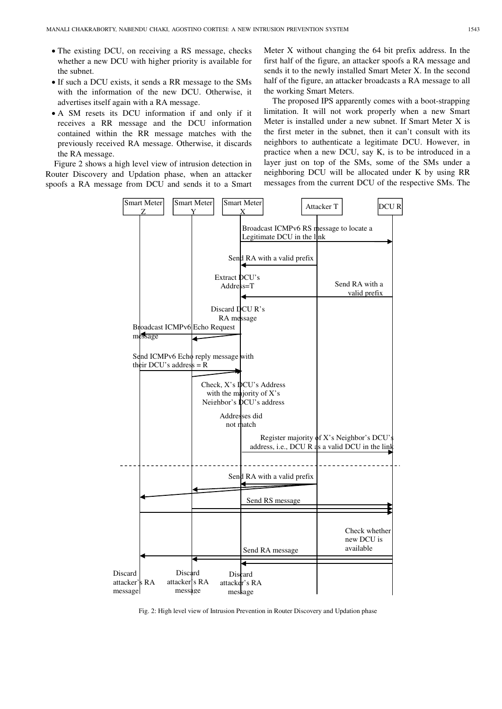- The existing DCU, on receiving a RS message, checks whether a new DCU with higher priority is available for the subnet.
- If such a DCU exists, it sends a RR message to the SMs with the information of the new DCU. Otherwise, it advertises itself again with a RA message.
- A SM resets its DCU information if and only if it receives a RR message and the DCU information contained within the RR message matches with the previously received RA message. Otherwise, it discards the RA message.

Figure 2 shows a high level view of intrusion detection in Router Discovery and Updation phase, when an attacker spoofs a RA message from DCU and sends it to a Smart Meter X without changing the 64 bit prefix address. In the first half of the figure, an attacker spoofs a RA message and sends it to the newly installed Smart Meter X. In the second half of the figure, an attacker broadcasts a RA message to all the working Smart Meters.

The proposed IPS apparently comes with a boot-strapping limitation. It will not work properly when a new Smart Meter is installed under a new subnet. If Smart Meter X is the first meter in the subnet, then it can't consult with its neighbors to authenticate a legitimate DCU. However, in practice when a new DCU, say K, is to be introduced in a layer just on top of the SMs, some of the SMs under a neighboring DCU will be allocated under K by using RR messages from the current DCU of the respective SMs. The



Fig. 2: High level view of Intrusion Prevention in Router Discovery and Updation phase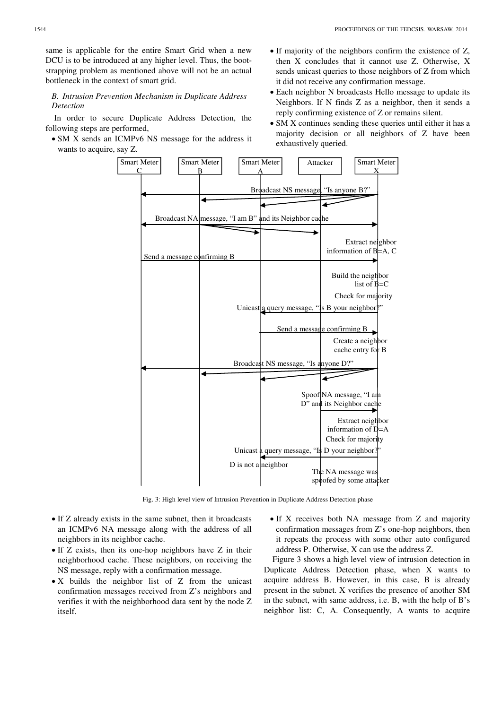same is applicable for the entire Smart Grid when a new DCU is to be introduced at any higher level. Thus, the bootstrapping problem as mentioned above will not be an actual bottleneck in the context of smart grid.

### *B. Intrusion Prevention Mechanism in Duplicate Address Detection*

In order to secure Duplicate Address Detection, the following steps are performed,

- SM X sends an ICMPv6 NS message for the address it wants to acquire, say Z.
- If majority of the neighbors confirm the existence of Z, then X concludes that it cannot use Z. Otherwise, X sends unicast queries to those neighbors of Z from which it did not receive any confirmation message.
- Each neighbor N broadcasts Hello message to update its Neighbors. If N finds Z as a neighbor, then it sends a reply confirming existence of Z or remains silent.
- SM X continues sending these queries until either it has a majority decision or all neighbors of Z have been exhaustively queried.



Fig. 3: High level view of Intrusion Prevention in Duplicate Address Detection phase

- If Z already exists in the same subnet, then it broadcasts an ICMPv6 NA message along with the address of all neighbors in its neighbor cache.
- If Z exists, then its one-hop neighbors have Z in their neighborhood cache. These neighbors, on receiving the NS message, reply with a confirmation message.
- X builds the neighbor list of Z from the unicast confirmation messages received from Z's neighbors and verifies it with the neighborhood data sent by the node Z itself.
- If X receives both NA message from Z and majority confirmation messages from Z's one-hop neighbors, then it repeats the process with some other auto configured address P. Otherwise, X can use the address Z.

Figure 3 shows a high level view of intrusion detection in Duplicate Address Detection phase, when X wants to acquire address B. However, in this case, B is already present in the subnet. X verifies the presence of another SM in the subnet, with same address, i.e. B, with the help of B's neighbor list: C, A. Consequently, A wants to acquire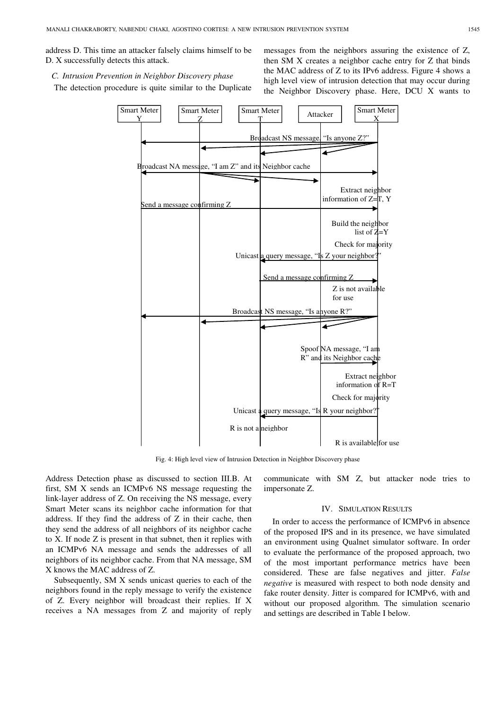address D. This time an attacker falsely claims himself to be D. X successfully detects this attack.

*C. Intrusion Prevention in Neighbor Discovery phase*

The detection procedure is quite similar to the Duplicate

messages from the neighbors assuring the existence of Z, then SM X creates a neighbor cache entry for Z that binds the MAC address of Z to its IPv6 address. Figure 4 shows a high level view of intrusion detection that may occur during the Neighbor Discovery phase. Here, DCU X wants to



Fig. 4: High level view of Intrusion Detection in Neighbor Discovery phase

Address Detection phase as discussed to section III.B. At first, SM X sends an ICMPv6 NS message requesting the link-layer address of Z. On receiving the NS message, every Smart Meter scans its neighbor cache information for that address. If they find the address of Z in their cache, then they send the address of all neighbors of its neighbor cache to X. If node Z is present in that subnet, then it replies with an ICMPv6 NA message and sends the addresses of all neighbors of its neighbor cache. From that NA message, SM X knows the MAC address of Z.

Subsequently, SM X sends unicast queries to each of the neighbors found in the reply message to verify the existence of Z. Every neighbor will broadcast their replies. If X receives a NA messages from Z and majority of reply

communicate with SM Z, but attacker node tries to impersonate Z.

#### IV. SIMULATION RESULTS

In order to access the performance of ICMPv6 in absence of the proposed IPS and in its presence, we have simulated an environment using Qualnet simulator software. In order to evaluate the performance of the proposed approach, two of the most important performance metrics have been considered. These are false negatives and jitter. *False negative* is measured with respect to both node density and fake router density. Jitter is compared for ICMPv6, with and without our proposed algorithm. The simulation scenario and settings are described in Table I below.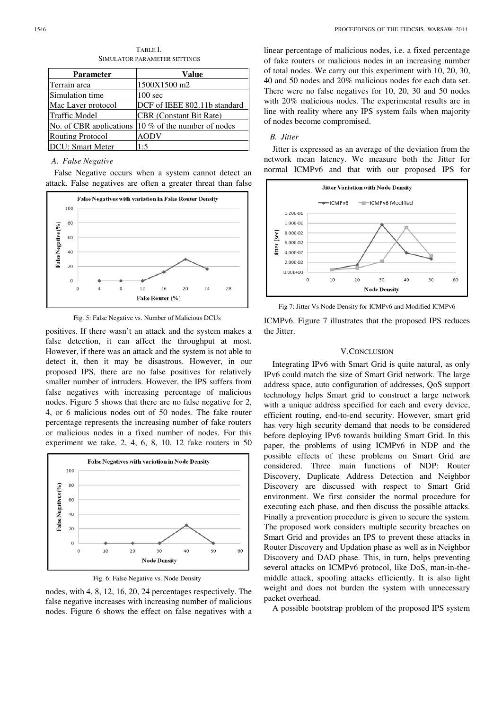| <b>Parameter</b>        | Value                          |
|-------------------------|--------------------------------|
| Terrain area            | 1500X1500 m2                   |
| Simulation time         | 100 <sub>sec</sub>             |
| Mac Laver protocol      | DCF of IEEE 802.11b standard   |
| <b>Traffic Model</b>    | <b>CBR</b> (Constant Bit Rate) |
| No. of CBR applications | 10 % of the number of nodes    |
| Routing Protocol        | <b>AODV</b>                    |
| DCU: Smart Meter        | 1.5                            |

TABLE I. SIMULATOR PARAMETER SETTINGS

### *A. False Negative*

False Negative occurs when a system cannot detect an attack. False negatives are often a greater threat than false



Fig. 5: False Negative vs. Number of Malicious DCUs

positives. If there wasn't an attack and the system makes a false detection, it can affect the throughput at most. However, if there was an attack and the system is not able to detect it, then it may be disastrous. However, in our proposed IPS, there are no false positives for relatively smaller number of intruders. However, the IPS suffers from false negatives with increasing percentage of malicious nodes. Figure 5 shows that there are no false negative for 2, 4, or 6 malicious nodes out of 50 nodes. The fake router percentage represents the increasing number of fake routers or malicious nodes in a fixed number of nodes. For this experiment we take, 2, 4, 6, 8, 10, 12 fake routers in 50





nodes, with 4, 8, 12, 16, 20, 24 percentages respectively. The false negative increases with increasing number of malicious nodes. Figure 6 shows the effect on false negatives with a linear percentage of malicious nodes, i.e. a fixed percentage of fake routers or malicious nodes in an increasing number of total nodes. We carry out this experiment with 10, 20, 30, 40 and 50 nodes and 20% malicious nodes for each data set. There were no false negatives for 10, 20, 30 and 50 nodes with 20% malicious nodes. The experimental results are in line with reality where any IPS system fails when majority of nodes become compromised.

### *B. Jitter*

Jitter is expressed as an average of the deviation from the network mean latency. We measure both the Jitter for normal ICMPv6 and that with our proposed IPS for



Fig 7: Jitter Vs Node Density for ICMPv6 and Modified ICMPv6

ICMPv6. Figure 7 illustrates that the proposed IPS reduces the Jitter.

#### V.CONCLUSION

Integrating IPv6 with Smart Grid is quite natural, as only IPv6 could match the size of Smart Grid network. The large address space, auto configuration of addresses, QoS support technology helps Smart grid to construct a large network with a unique address specified for each and every device, efficient routing, end-to-end security. However, smart grid has very high security demand that needs to be considered before deploying IPv6 towards building Smart Grid. In this paper, the problems of using ICMPv6 in NDP and the possible effects of these problems on Smart Grid are considered. Three main functions of NDP: Router Discovery, Duplicate Address Detection and Neighbor Discovery are discussed with respect to Smart Grid environment. We first consider the normal procedure for executing each phase, and then discuss the possible attacks. Finally a prevention procedure is given to secure the system. The proposed work considers multiple security breaches on Smart Grid and provides an IPS to prevent these attacks in Router Discovery and Updation phase as well as in Neighbor Discovery and DAD phase. This, in turn, helps preventing several attacks on ICMPv6 protocol, like DoS, man-in-themiddle attack, spoofing attacks efficiently. It is also light weight and does not burden the system with unnecessary packet overhead.

A possible bootstrap problem of the proposed IPS system